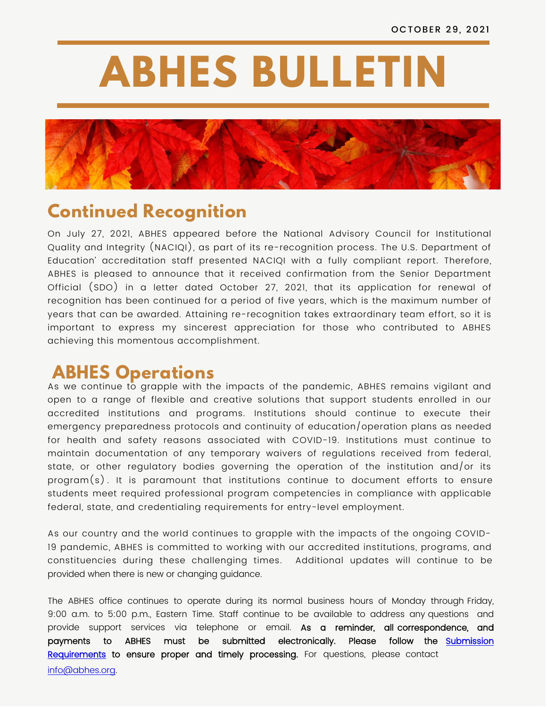# **ABHES BULLETIN**



## **Continued Recognition**

On July 27, 2021, ABHES appeared before the National Advisory Council for Institutional Quality and Integrity (NACIQI), as part of its re-recognition process. The U.S. Department of Education' accreditation staff presented NACIQI with a fully compliant report. Therefore, ABHES is pleased to announce that it received confirmation from the Senior Department Official (SDO) in a letter dated October 27, 2021, that its application for renewal of recognition has been continued for a period of five years, which is the maximum number of years that can be awarded. Attaining re-recognition takes extraordinary team effort, so it is important to express my sincerest appreciation for those who contributed to ABHES achieving this momentous accomplishment.

## **ABHES Operations**

As we continue to grapple with the impacts of the pandemic, ABHES remains vigilant and open to a range of flexible and creative solutions that support students enrolled in our accredited institutions and programs. Institutions should continue to execute their emergency preparedness protocols and continuity of education/operation plans as needed for health and safety reasons associated with COVID-19. Institutions must continue to maintain documentation of any temporary waivers of regulations received from federal, state, or other regulatory bodies governing the operation of the institution and/or its program(s) . It is paramount that institutions continue to document efforts to ensure students meet required professional program competencies in compliance with applicable federal, state, and credentialing requirements for entry-level employment.

As our country and the world continues to grapple with the impacts of the ongoing COVID-19 pandemic, ABHES is committed to working with our accredited institutions, programs, and constituencies during these challenging times. Additional updates will continue to be provided when there is new or changing guidance.

The ABHES office continues to operate during its normal business hours of Monday through Friday, 9:00 a.m. to 5:00 p.m., Eastern Time. Staff continue to be available to address any questions and provide support services via telephone or email. As a reminder, all correspondence, and [payments to ABHES must be submitted electronically.](https://abhes.org/news_item/new-submission-requirements/) Please follow the Submission Requirements to ensure proper and timely processing. For questions, please contact [info@abhes.org](mailto:info@abhes.org).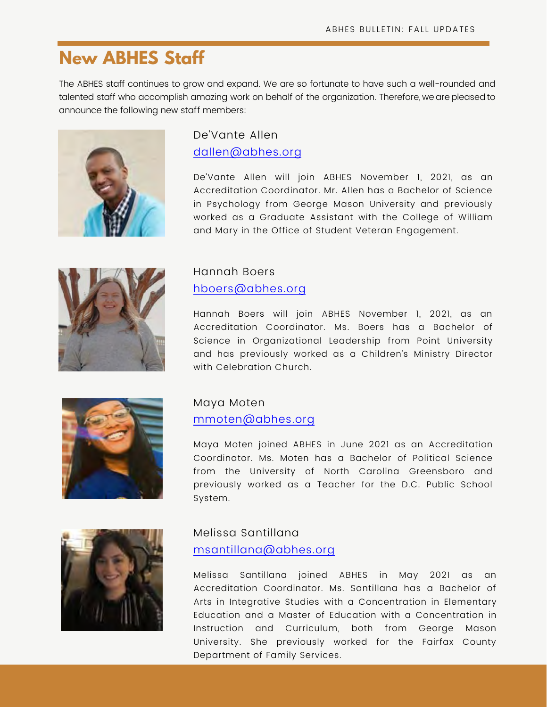## **New ABHES Staff**

The ABHES staff continues to grow and expand. We are so fortunate to have such a well-rounded and talented staff who accomplish amazing work on behalf of the organization. Therefore, we are pleased to announce the following new staff members:



#### De'Vante Allen [dallen@abhes.org](mailto:dallen@abhes.org)

De'Vante Allen will join ABHES November 1, 2021, as an Accreditation Coordinator. Mr. Allen has a Bachelor of Science in Psychology from George Mason University and previously worked as a Graduate Assistant with the College of William and Mary in the Office of Student Veteran Engagement.



#### Hannah Boers [hboers@abhes.org](mailto:hboers@abhes.org)

Hannah Boers will join ABHES November 1, 2021, as an Accreditation Coordinator. Ms. Boers has a Bachelor of Science in Organizational Leadership from Point University and has previously worked as a Children's Ministry Director with Celebration Church.



#### Maya Moten [mmoten@abhes.org](mailto:mmoten@abhes.org)

Maya Moten joined ABHES in June 2021 as an Accreditation Coordinator. Ms. Moten has a Bachelor of Political Science from the University of North Carolina Greensboro and previously worked as a Teacher for the D.C. Public School System.



#### Melissa Santillana [msantillana@abhes.org](mailto:msantillana@abhes.org)

Melissa Santillana joined ABHES in May 2021 as an Accreditation Coordinator. Ms. Santillana has a Bachelor of Arts in Integrative Studies with a Concentration in Elementary Education and a Master of Education with a Concentration in Instruction and Curriculum, both from George Mason University. She previously worked for the Fairfax County Department of Family Services.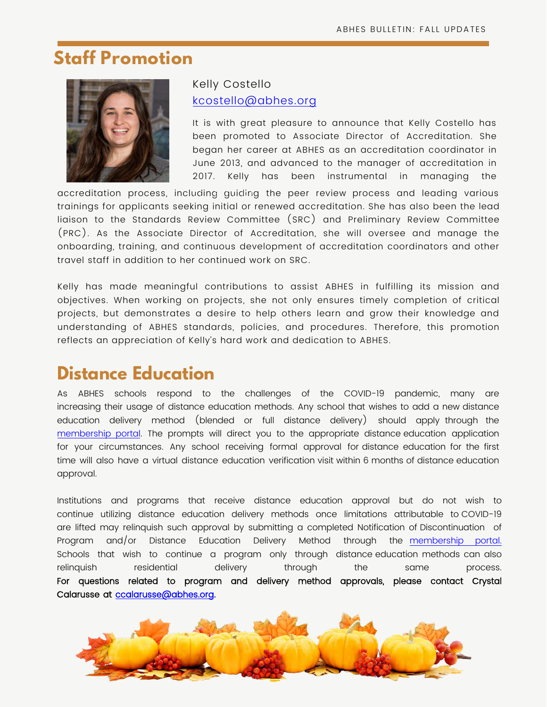## **Staff Promotion**



#### Kelly Costello [kcostello@abhes.org](mailto:kcostello@abhes.org)

It is with great pleasure to announce that Kelly Costello has been promoted to Associate Director of Accreditation. She began her career at ABHES as an accreditation coordinator in June 2013, and advanced to the manager of accreditation in 2017. Kelly has been instrumental in managing the

accreditation process, including quiding the peer review process and leading various trainings for applicants seeking initial or renewed accreditation. She has also been the lead liaison to the Standards Review Committee (SRC) and Preliminary Review Committee (PRC). As the Associate Director of Accreditation, she will oversee and manage the onboarding, training, and continuous development of accreditation coordinators and other travel staff in addition to her continued work on SRC.

Kelly has made meaningful contributions to assist ABHES in fulfilling its mission and objectives. When working on projects, she not only ensures timely completion of critical projects, but demonstrates a desire to help others learn and grow their knowledge and understanding of ABHES standards, policies, and procedures. Therefore, this promotion reflects an appreciation of Kelly's hard work and dedication to ABHES.

## **Distance Education**

As ABHES schools respond to the challenges of the COVID-19 pandemic, many are increasing their usage of distance education methods. Any school that wishes to add a new distance education delivery method (blended or full distance delivery) should apply through the [membership portal](https://portal.abhes.org/). The prompts will direct you to the appropriate distance education application for your circumstances. Any school receiving formal approval for distance education for the first time will also have a virtual distance education verification visit within 6 months of distance education approval.

Institutions and programs that receive distance education approval but do not wish to continue utilizing distance education delivery methods once limitations attributable to COVID-19 are lifted may relinquish such approval by submitting a completed Notification of Discontinuation of Program and/or Distance Education Delivery Method through the [membership portal.](https://portal.abhes.org/) Schools that wish to continue a program only through distance education methods can also relinquish residential delivery through the same process. For questions related to program and delivery method approvals, please contact Crystal Calarusse at [ccalarusse@abhes.org.](mailto:ccalarusse@abhes.org)

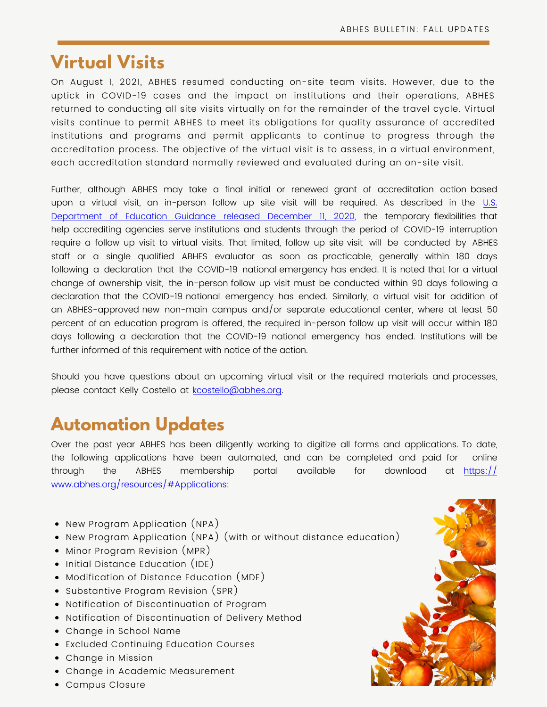## **Virtual Visits**

On August 1, 2021, ABHES resumed conducting on-site team visits. However, due to the uptick in COVID-19 cases and the impact on institutions and their operations, ABHES returned to conducting all site visits virtually on for the remainder of the travel cycle. Virtual visits continue to permit ABHES to meet its obligations for quality assurance of accredited institutions and programs and permit applicants to continue to progress through the accreditation process. The objective of the virtual visit is to assess, in a virtual environment, each accreditation standard normally reviewed and evaluated during an on-site visit.

Further, although ABHES may take a final initial or renewed grant of accreditation action based [upon a virtual visit, an in-person follow up site visit will be required. As described in the U.S.](https://www.federalregister.gov/documents/2020/12/11/2020-27042/federal-student-aid-programs-student-assistance-general-provisions-federal-perkins-loan-program)  Department of Education Guidance released December II, 2020, the temporary flexibilities that help accrediting agencies serve institutions and students through the period of COVID-19 interruption require a follow up visit to virtual visits. That limited, follow up site visit will be conducted by ABHES staff or a single qualified ABHES evaluator as soon as practicable, generally within 180 days following a declaration that the COVID-19 national emergency has ended. It is noted that for a virtual change of ownership visit, the in-person follow up visit must be conducted within 90 days following a declaration that the COVID-19 national emergency has ended. Similarly, a virtual visit for addition of an ABHES-approved new non-main campus and/or separate educational center, where at least 50 percent of an education program is offered, the required in-person follow up visit will occur within 180 days following a declaration that the COVID-19 national emergency has ended. Institutions will be further informed of this requirement with notice of the action.

Should you have questions about an upcoming virtual visit or the required materials and processes, please contact Kelly Costello at [kcostello@abhes.org](mailto:kcostello@abhes.org).

## **Automation Updates**

Over the past year ABHES has been diligently working to digitize all forms and applications. To date, the following applications have been automated, and can be completed and paid for online through the ABHES membership portal available for download at <u>https://</u> www.abhes.org/resources/#Applications:

- New Program Application (NPA)
- New Program Application (NPA) (with or without distance education)
- Minor Program Revision (MPR)
- Initial Distance Education (IDE)
- Modification of Distance Education (MDE)
- Substantive Program Revision (SPR)
- Notification of Discontinuation of Program
- Notification of Discontinuation of Delivery Method
- Change in School Name
- Excluded Continuing Education Courses
- Change in Mission
- Change in Academic Measurement
- Campus Closure

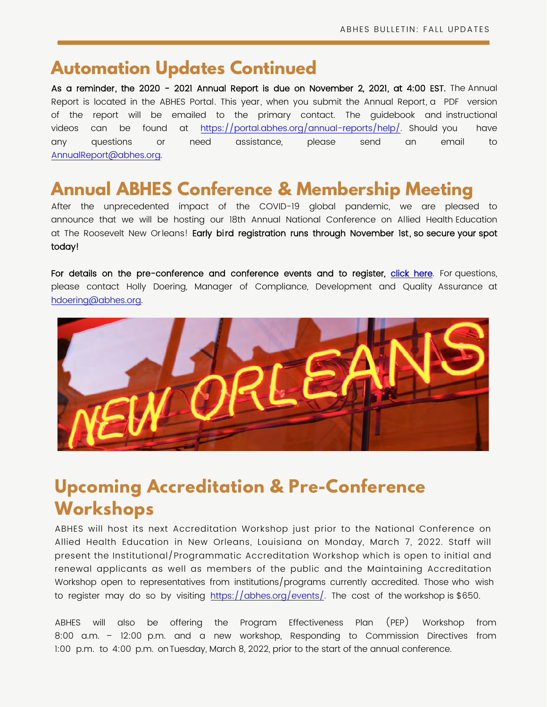### **Automation Updates Continued**

As a reminder, the 2020 - 2021 Annual Report is due on November 2, 2021, at 4:00 EST. The Annual Report is located in the ABHES Portal. This year, when you submit the Annual Report, a PDF version of the report will be emailed to the primary contact. The guidebook and instructional videos can be found at <https://portal.abhes.org/annual-reports/help/>. Should you have any questions or need assistance, please send an email to [AnnualReport@abhes.org.](mailto:AnnualReport@abhes.org)

# **Annual ABHES Conference & Membership Meeting**

After the unprecedented impact of the COVID-19 global pandemic, we are pleased to announce that we will be hosting our 18th Annual National Conference on Allied Health Education at The Roosevelt New Orleans! Early bird registration runs through November 1st, so secure your spot today!

For details on the pre-conference and conference events and to register, [click here](https://web.cvent.com/event/97fa7657-18b0-4f0c-a890-92e08db2521d/summary). For questions, please contact Holly Doering, Manager of Compliance, Development and Quality Assurance at [hdoering@abhes.org](mailto:hdoering@abhes.org).



# **Upcoming Accreditation & Pre-Conference Workshops**

ABHES will host its next Accreditation Workshop just prior to the National Conference on Allied Health Education in New Orleans, Louisiana on Monday, March 7, 2022. Staff will present the Institutional/Programmatic Accreditation Workshop which is open to initial and renewal applicants as well as members of the public and the Maintaining Accreditation Workshop open to representatives from institutions/programs currently accredited. Those who wish to register may do so by visiting <https://abhes.org/events/>. The cost of the workshop is \$650.

ABHES will also be offering the Program Effectiveness Plan (PEP) Workshop from 8:00 a.m. – 12:00 p.m. and a new workshop, Responding to Commission Directives from 1:00 p.m. to 4:00 p.m. on Tuesday, March 8, 2022, prior to the start of the annual conference.